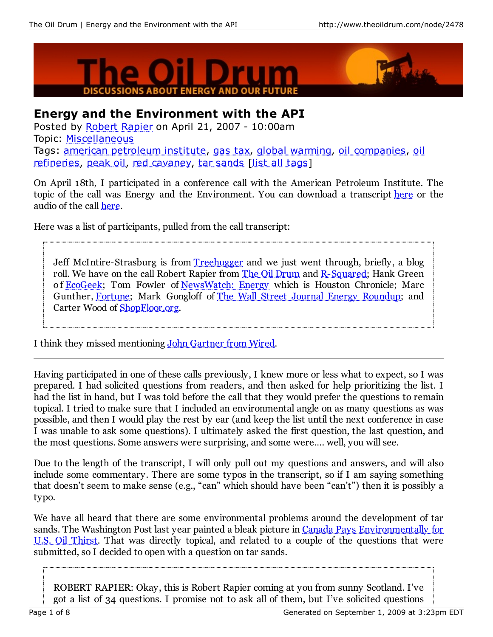



## **Energy and the Environment with the API**

Posted by Robert Rapier on April 21, 2007 - 10:00am Topic: Miscellaneous Tags: american petroleum institute, gas tax, global warming, oil companies, oil refineries, peak oil, red cavaney, tar sands [list all tags]

On April 18th, I participated in a conference call with the American Petroleum Institute. The topic of the call was Energy and the Environment. You can download a transcript here or the audio of the call here.

Here was a list of participants, pulled from the call transcript:

Jeff McIntire-Strasburg is from Treehugger and we just went through, briefly, a blog roll. We have on the call Robert Rapier from The Oil Drum and R-Squared; Hank Green of **EcoGeek**; Tom Fowler of NewsWatch: Energy which is Houston Chronicle; Marc Gunther, Fortune; Mark Gongloff of The Wall Street Journal Energy Roundup; and Carter Wood of ShopFloor.org.

I think they missed mentioning John Gartner from Wired.

Having participated in one of these calls previously, I knew more or less what to expect, so I was prepared. I had solicited questions from readers, and then asked for help prioritizing the list. I had the list in hand, but I was told before the call that they would prefer the questions to remain topical. I tried to make sure that I included an environmental angle on as many questions as was possible, and then I would play the rest by ear (and keep the list until the next conference in case I was unable to ask some questions). I ultimately asked the first question, the last question, and the most questions. Some answers were surprising, and some were…. well, you will see.

Due to the length of the transcript, I will only pull out my questions and answers, and will also include some commentary. There are some typos in the transcript, so if I am saying something that doesn't seem to make sense (e.g., "can" which should have been "can't") then it is possibly a typo.

We have all heard that there are some environmental problems around the development of tar sands. The Washington Post last year painted a bleak picture in Canada Pays Environmentally for U.S. Oil Thirst. That was directly topical, and related to a couple of the questions that were submitted, so I decided to open with a question on tar sands.

ROBERT RAPIER: Okay, this is Robert Rapier coming at you from sunny Scotland. I've got a list of 34 questions. I promise not to ask all of them, but I've solicited questions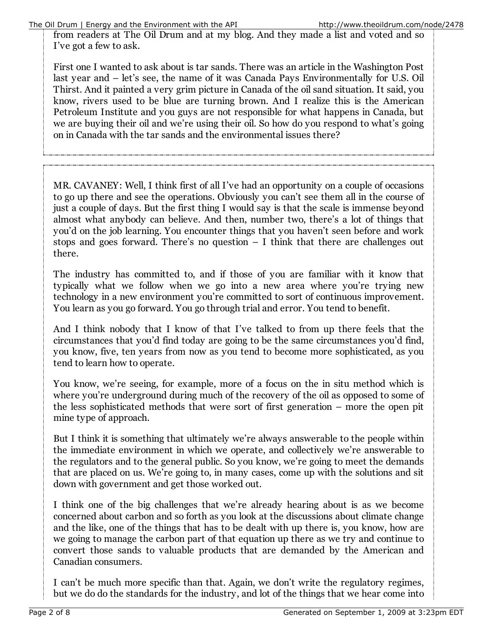from readers at The Oil Drum and at my blog. And they made a list and voted and so I've got a few to ask.

First one I wanted to ask about is tar sands. There was an article in the Washington Post last year and – let's see, the name of it was Canada Pays Environmentally for U.S. Oil Thirst. And it painted a very grim picture in Canada of the oil sand situation. It said, you know, rivers used to be blue are turning brown. And I realize this is the American Petroleum Institute and you guys are not responsible for what happens in Canada, but we are buying their oil and we're using their oil. So how do you respond to what's going on in Canada with the tar sands and the environmental issues there?

MR. CAVANEY: Well, I think first of all I've had an opportunity on a couple of occasions to go up there and see the operations. Obviously you can't see them all in the course of just a couple of days. But the first thing I would say is that the scale is immense beyond almost what anybody can believe. And then, number two, there's a lot of things that you'd on the job learning. You encounter things that you haven't seen before and work stops and goes forward. There's no question  $- I$  think that there are challenges out there.

The industry has committed to, and if those of you are familiar with it know that typically what we follow when we go into a new area where you're trying new technology in a new environment you're committed to sort of continuous improvement. You learn as you go forward. You go through trial and error. You tend to benefit.

And I think nobody that I know of that I've talked to from up there feels that the circumstances that you'd find today are going to be the same circumstances you'd find, you know, five, ten years from now as you tend to become more sophisticated, as you tend to learn how to operate.

You know, we're seeing, for example, more of a focus on the in situ method which is where you're underground during much of the recovery of the oil as opposed to some of the less sophisticated methods that were sort of first generation – more the open pit mine type of approach.

But I think it is something that ultimately we're always answerable to the people within the immediate environment in which we operate, and collectively we're answerable to the regulators and to the general public. So you know, we're going to meet the demands that are placed on us. We're going to, in many cases, come up with the solutions and sit down with government and get those worked out.

I think one of the big challenges that we're already hearing about is as we become concerned about carbon and so forth as you look at the discussions about climate change and the like, one of the things that has to be dealt with up there is, you know, how are we going to manage the carbon part of that equation up there as we try and continue to convert those sands to valuable products that are demanded by the American and Canadian consumers.

I can't be much more specific than that. Again, we don't write the regulatory regimes, but we do do the standards for the industry, and lot of the things that we hear come into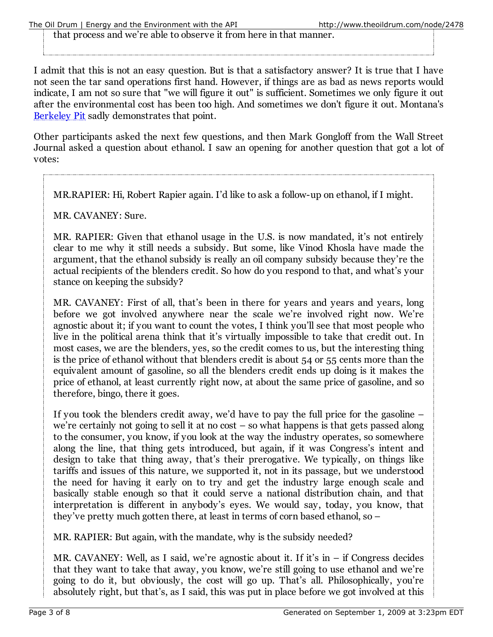that process and we're able to observe it from here in that manner.

I admit that this is not an easy question. But is that a satisfactory answer? It is true that I have not seen the tar sand operations first hand. However, if things are as bad as news reports would indicate, I am not so sure that "we will figure it out" is sufficient. Sometimes we only figure it out after the environmental cost has been too high. And sometimes we don't figure it out. Montana's Berkeley Pit sadly demonstrates that point.

Other participants asked the next few questions, and then Mark Gongloff from the Wall Street Journal asked a question about ethanol. I saw an opening for another question that got a lot of votes:

MR.RAPIER: Hi, Robert Rapier again. I'd like to ask a follow-up on ethanol, if I might.

MR. CAVANEY: Sure.

MR. RAPIER: Given that ethanol usage in the U.S. is now mandated, it's not entirely clear to me why it still needs a subsidy. But some, like Vinod Khosla have made the argument, that the ethanol subsidy is really an oil company subsidy because they're the actual recipients of the blenders credit. So how do you respond to that, and what's your stance on keeping the subsidy?

MR. CAVANEY: First of all, that's been in there for years and years and years, long before we got involved anywhere near the scale we're involved right now. We're agnostic about it; if you want to count the votes, I think you'll see that most people who live in the political arena think that it's virtually impossible to take that credit out. In most cases, we are the blenders, yes, so the credit comes to us, but the interesting thing is the price of ethanol without that blenders credit is about 54 or 55 cents more than the equivalent amount of gasoline, so all the blenders credit ends up doing is it makes the price of ethanol, at least currently right now, at about the same price of gasoline, and so therefore, bingo, there it goes.

If you took the blenders credit away, we'd have to pay the full price for the gasoline – we're certainly not going to sell it at no cost – so what happens is that gets passed along to the consumer, you know, if you look at the way the industry operates, so somewhere along the line, that thing gets introduced, but again, if it was Congress's intent and design to take that thing away, that's their prerogative. We typically, on things like tariffs and issues of this nature, we supported it, not in its passage, but we understood the need for having it early on to try and get the industry large enough scale and basically stable enough so that it could serve a national distribution chain, and that interpretation is different in anybody's eyes. We would say, today, you know, that they've pretty much gotten there, at least in terms of corn based ethanol, so –

MR. RAPIER: But again, with the mandate, why is the subsidy needed?

MR. CAVANEY: Well, as I said, we're agnostic about it. If it's in – if Congress decides that they want to take that away, you know, we're still going to use ethanol and we're going to do it, but obviously, the cost will go up. That's all. Philosophically, you're absolutely right, but that's, as I said, this was put in place before we got involved at this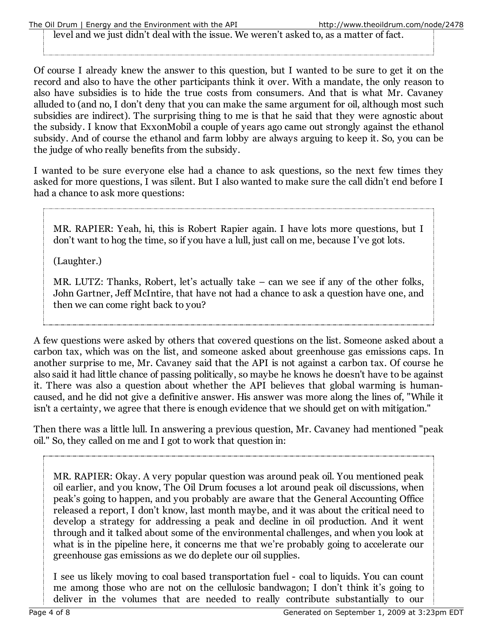level and we just didn't deal with the issue. We weren't asked to, as a matter of fact.

Of course I already knew the answer to this question, but I wanted to be sure to get it on the record and also to have the other participants think it over. With a mandate, the only reason to also have subsidies is to hide the true costs from consumers. And that is what Mr. Cavaney alluded to (and no, I don't deny that you can make the same argument for oil, although most such subsidies are indirect). The surprising thing to me is that he said that they were agnostic about the subsidy. I know that ExxonMobil a couple of years ago came out strongly against the ethanol subsidy. And of course the ethanol and farm lobby are always arguing to keep it. So, you can be the judge of who really benefits from the subsidy.

I wanted to be sure everyone else had a chance to ask questions, so the next few times they asked for more questions, I was silent. But I also wanted to make sure the call didn't end before I had a chance to ask more questions:

MR. RAPIER: Yeah, hi, this is Robert Rapier again. I have lots more questions, but I don't want to hog the time, so if you have a lull, just call on me, because I've got lots.

(Laughter.)

MR. LUTZ: Thanks, Robert, let's actually take – can we see if any of the other folks, John Gartner, Jeff McIntire, that have not had a chance to ask a question have one, and then we can come right back to you?

A few questions were asked by others that covered questions on the list. Someone asked about a carbon tax, which was on the list, and someone asked about greenhouse gas emissions caps. In another surprise to me, Mr. Cavaney said that the API is not against a carbon tax. Of course he also said it had little chance of passing politically, so maybe he knows he doesn't have to be against it. There was also a question about whether the API believes that global warming is humancaused, and he did not give a definitive answer. His answer was more along the lines of, "While it isn't a certainty, we agree that there is enough evidence that we should get on with mitigation."

Then there was a little lull. In answering a previous question, Mr. Cavaney had mentioned "peak oil." So, they called on me and I got to work that question in:

MR. RAPIER: Okay. A very popular question was around peak oil. You mentioned peak oil earlier, and you know, The Oil Drum focuses a lot around peak oil discussions, when peak's going to happen, and you probably are aware that the General Accounting Office released a report, I don't know, last month maybe, and it was about the critical need to develop a strategy for addressing a peak and decline in oil production. And it went through and it talked about some of the environmental challenges, and when you look at what is in the pipeline here, it concerns me that we're probably going to accelerate our greenhouse gas emissions as we do deplete our oil supplies.

I see us likely moving to coal based transportation fuel - coal to liquids. You can count me among those who are not on the cellulosic bandwagon; I don't think it's going to deliver in the volumes that are needed to really contribute substantially to our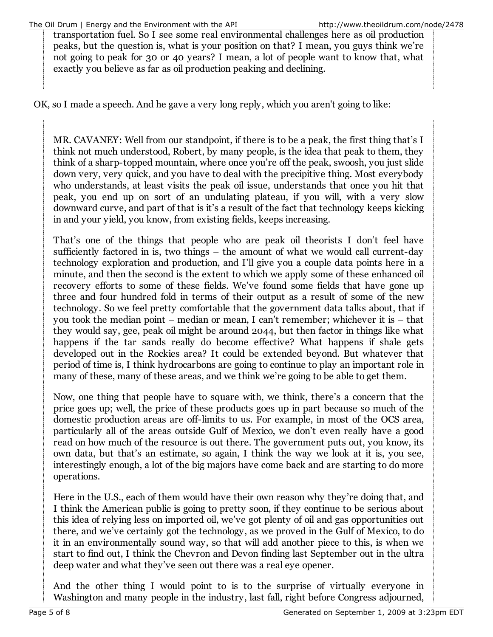transportation fuel. So I see some real environmental challenges here as oil production peaks, but the question is, what is your position on that? I mean, you guys think we're not going to peak for 30 or 40 years? I mean, a lot of people want to know that, what exactly you believe as far as oil production peaking and declining.

OK, so I made a speech. And he gave a very long reply, which you aren't going to like:

MR. CAVANEY: Well from our standpoint, if there is to be a peak, the first thing that's I think not much understood, Robert, by many people, is the idea that peak to them, they think of a sharp-topped mountain, where once you're off the peak, swoosh, you just slide down very, very quick, and you have to deal with the precipitive thing. Most everybody who understands, at least visits the peak oil issue, understands that once you hit that peak, you end up on sort of an undulating plateau, if you will, with a very slow downward curve, and part of that is it's a result of the fact that technology keeps kicking in and your yield, you know, from existing fields, keeps increasing.

That's one of the things that people who are peak oil theorists I don't feel have sufficiently factored in is, two things – the amount of what we would call current-day technology exploration and production, and I'll give you a couple data points here in a minute, and then the second is the extent to which we apply some of these enhanced oil recovery efforts to some of these fields. We've found some fields that have gone up three and four hundred fold in terms of their output as a result of some of the new technology. So we feel pretty comfortable that the government data talks about, that if you took the median point – median or mean, I can't remember; whichever it is – that they would say, gee, peak oil might be around 2044, but then factor in things like what happens if the tar sands really do become effective? What happens if shale gets developed out in the Rockies area? It could be extended beyond. But whatever that period of time is, I think hydrocarbons are going to continue to play an important role in many of these, many of these areas, and we think we're going to be able to get them.

Now, one thing that people have to square with, we think, there's a concern that the price goes up; well, the price of these products goes up in part because so much of the domestic production areas are off-limits to us. For example, in most of the OCS area, particularly all of the areas outside Gulf of Mexico, we don't even really have a good read on how much of the resource is out there. The government puts out, you know, its own data, but that's an estimate, so again, I think the way we look at it is, you see, interestingly enough, a lot of the big majors have come back and are starting to do more operations.

Here in the U.S., each of them would have their own reason why they're doing that, and I think the American public is going to pretty soon, if they continue to be serious about this idea of relying less on imported oil, we've got plenty of oil and gas opportunities out there, and we've certainly got the technology, as we proved in the Gulf of Mexico, to do it in an environmentally sound way, so that will add another piece to this, is when we start to find out, I think the Chevron and Devon finding last September out in the ultra deep water and what they've seen out there was a real eye opener.

And the other thing I would point to is to the surprise of virtually everyone in Washington and many people in the industry, last fall, right before Congress adjourned,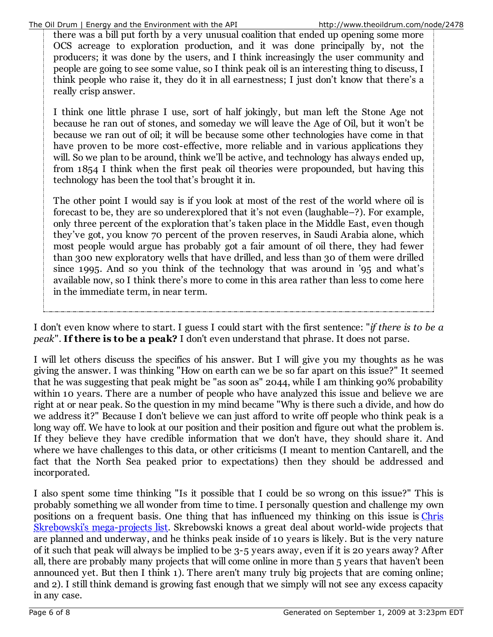there was a bill put forth by a very unusual coalition that ended up opening some more OCS acreage to exploration production, and it was done principally by, not the producers; it was done by the users, and I think increasingly the user community and people are going to see some value, so I think peak oil is an interesting thing to discuss, I think people who raise it, they do it in all earnestness; I just don't know that there's a really crisp answer.

I think one little phrase I use, sort of half jokingly, but man left the Stone Age not because he ran out of stones, and someday we will leave the Age of Oil, but it won't be because we ran out of oil; it will be because some other technologies have come in that have proven to be more cost-effective, more reliable and in various applications they will. So we plan to be around, think we'll be active, and technology has always ended up, from 1854 I think when the first peak oil theories were propounded, but having this technology has been the tool that's brought it in.

The other point I would say is if you look at most of the rest of the world where oil is forecast to be, they are so underexplored that it's not even (laughable–?). For example, only three percent of the exploration that's taken place in the Middle East, even though they've got, you know 70 percent of the proven reserves, in Saudi Arabia alone, which most people would argue has probably got a fair amount of oil there, they had fewer than 300 new exploratory wells that have drilled, and less than 30 of them were drilled since 1995. And so you think of the technology that was around in '95 and what's available now, so I think there's more to come in this area rather than less to come here in the immediate term, in near term.

I don't even know where to start. I guess I could start with the first sentence: "*if there is to be a peak*". **If there is to be a peak?** I don't even understand that phrase. It does not parse.

I will let others discuss the specifics of his answer. But I will give you my thoughts as he was giving the answer. I was thinking "How on earth can we be so far apart on this issue?" It seemed that he was suggesting that peak might be "as soon as" 2044, while I am thinking 90% probability within 10 years. There are a number of people who have analyzed this issue and believe we are right at or near peak. So the question in my mind became "Why is there such a divide, and how do we address it?" Because I don't believe we can just afford to write off people who think peak is a long way off. We have to look at our position and their position and figure out what the problem is. If they believe they have credible information that we don't have, they should share it. And where we have challenges to this data, or other criticisms (I meant to mention Cantarell, and the fact that the North Sea peaked prior to expectations) then they should be addressed and incorporated.

I also spent some time thinking "Is it possible that I could be so wrong on this issue?" This is probably something we all wonder from time to time. I personally question and challenge my own positions on a frequent basis. One thing that has influenced my thinking on this issue is Chris Skrebowski's mega-projects list. Skrebowski knows a great deal about world-wide projects that are planned and underway, and he thinks peak inside of 10 years is likely. But is the very nature of it such that peak will always be implied to be 3-5 years away, even if it is 20 years away? After all, there are probably many projects that will come online in more than 5 years that haven't been announced yet. But then I think 1). There aren't many truly big projects that are coming online; and 2). I still think demand is growing fast enough that we simply will not see any excess capacity in any case.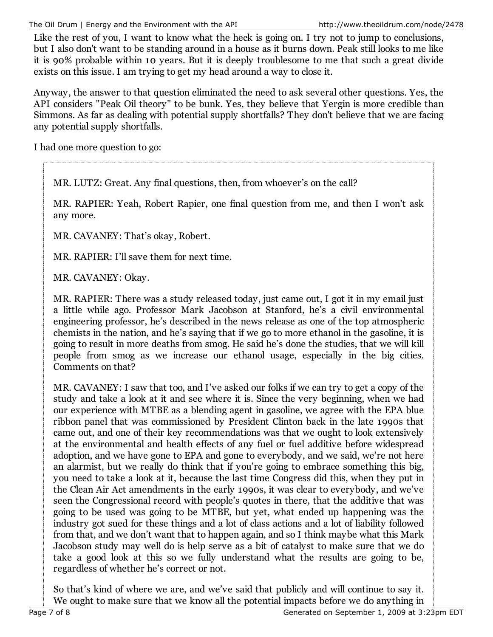The Oil Drum | Energy and the Environment with the API http://www.theoildrum.com/node/2478

Like the rest of you, I want to know what the heck is going on. I try not to jump to conclusions, but I also don't want to be standing around in a house as it burns down. Peak still looks to me like it is 90% probable within 10 years. But it is deeply troublesome to me that such a great divide exists on this issue. I am trying to get my head around a way to close it.

Anyway, the answer to that question eliminated the need to ask several other questions. Yes, the API considers "Peak Oil theory" to be bunk. Yes, they believe that Yergin is more credible than Simmons. As far as dealing with potential supply shortfalls? They don't believe that we are facing any potential supply shortfalls.

I had one more question to go:

MR. LUTZ: Great. Any final questions, then, from whoever's on the call?

MR. RAPIER: Yeah, Robert Rapier, one final question from me, and then I won't ask any more.

MR. CAVANEY: That's okay, Robert.

MR. RAPIER: I'll save them for next time.

MR. CAVANEY: Okay.

MR. RAPIER: There was a study released today, just came out, I got it in my email just a little while ago. Professor Mark Jacobson at Stanford, he's a civil environmental engineering professor, he's described in the news release as one of the top atmospheric chemists in the nation, and he's saying that if we go to more ethanol in the gasoline, it is going to result in more deaths from smog. He said he's done the studies, that we will kill people from smog as we increase our ethanol usage, especially in the big cities. Comments on that?

MR. CAVANEY: I saw that too, and I've asked our folks if we can try to get a copy of the study and take a look at it and see where it is. Since the very beginning, when we had our experience with MTBE as a blending agent in gasoline, we agree with the EPA blue ribbon panel that was commissioned by President Clinton back in the late 1990s that came out, and one of their key recommendations was that we ought to look extensively at the environmental and health effects of any fuel or fuel additive before widespread adoption, and we have gone to EPA and gone to everybody, and we said, we're not here an alarmist, but we really do think that if you're going to embrace something this big, you need to take a look at it, because the last time Congress did this, when they put in the Clean Air Act amendments in the early 1990s, it was clear to everybody, and we've seen the Congressional record with people's quotes in there, that the additive that was going to be used was going to be MTBE, but yet, what ended up happening was the industry got sued for these things and a lot of class actions and a lot of liability followed from that, and we don't want that to happen again, and so I think maybe what this Mark Jacobson study may well do is help serve as a bit of catalyst to make sure that we do take a good look at this so we fully understand what the results are going to be, regardless of whether he's correct or not.

So that's kind of where we are, and we've said that publicly and will continue to say it. We ought to make sure that we know all the potential impacts before we do anything in